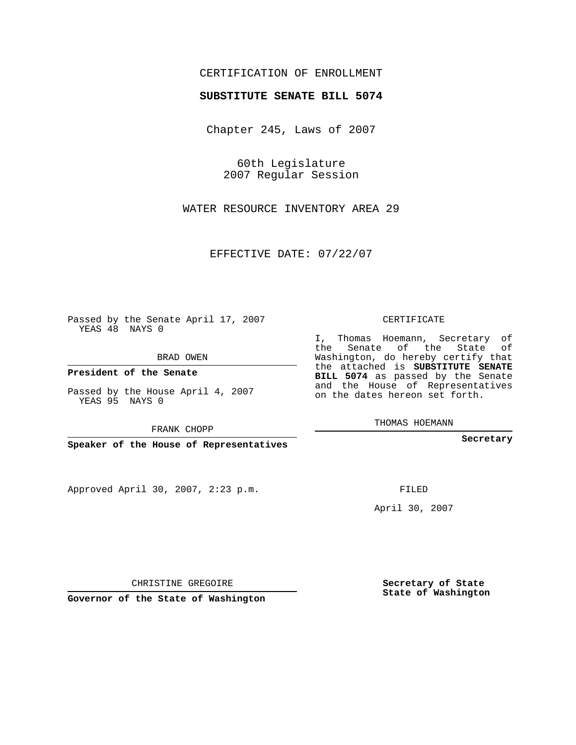## CERTIFICATION OF ENROLLMENT

## **SUBSTITUTE SENATE BILL 5074**

Chapter 245, Laws of 2007

60th Legislature 2007 Regular Session

WATER RESOURCE INVENTORY AREA 29

EFFECTIVE DATE: 07/22/07

Passed by the Senate April 17, 2007 YEAS 48 NAYS 0

BRAD OWEN

**President of the Senate**

Passed by the House April 4, 2007 YEAS 95 NAYS 0

FRANK CHOPP

**Speaker of the House of Representatives**

Approved April 30, 2007, 2:23 p.m.

CERTIFICATE

I, Thomas Hoemann, Secretary of the Senate of the State of Washington, do hereby certify that the attached is **SUBSTITUTE SENATE BILL 5074** as passed by the Senate and the House of Representatives on the dates hereon set forth.

THOMAS HOEMANN

**Secretary**

FILED

April 30, 2007

**Secretary of State State of Washington**

CHRISTINE GREGOIRE

**Governor of the State of Washington**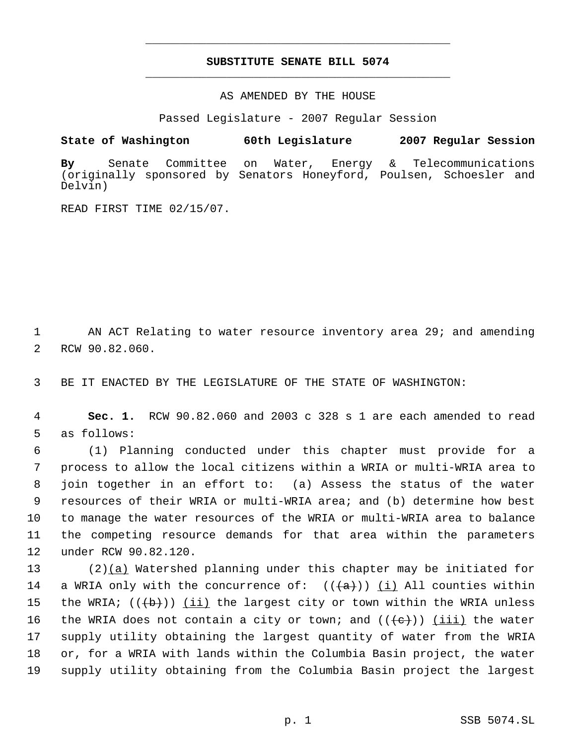## **SUBSTITUTE SENATE BILL 5074** \_\_\_\_\_\_\_\_\_\_\_\_\_\_\_\_\_\_\_\_\_\_\_\_\_\_\_\_\_\_\_\_\_\_\_\_\_\_\_\_\_\_\_\_\_

\_\_\_\_\_\_\_\_\_\_\_\_\_\_\_\_\_\_\_\_\_\_\_\_\_\_\_\_\_\_\_\_\_\_\_\_\_\_\_\_\_\_\_\_\_

AS AMENDED BY THE HOUSE

Passed Legislature - 2007 Regular Session

**State of Washington 60th Legislature 2007 Regular Session**

**By** Senate Committee on Water, Energy & Telecommunications (originally sponsored by Senators Honeyford, Poulsen, Schoesler and Delvin)

READ FIRST TIME 02/15/07.

 1 AN ACT Relating to water resource inventory area 29; and amending 2 RCW 90.82.060.

3 BE IT ENACTED BY THE LEGISLATURE OF THE STATE OF WASHINGTON:

 4 **Sec. 1.** RCW 90.82.060 and 2003 c 328 s 1 are each amended to read 5 as follows:

 (1) Planning conducted under this chapter must provide for a process to allow the local citizens within a WRIA or multi-WRIA area to join together in an effort to: (a) Assess the status of the water resources of their WRIA or multi-WRIA area; and (b) determine how best to manage the water resources of the WRIA or multi-WRIA area to balance the competing resource demands for that area within the parameters under RCW 90.82.120.

13 (2)(a) Watershed planning under this chapter may be initiated for 14 a WRIA only with the concurrence of:  $((+a))$  (i) All counties within 15 the WRIA;  $((+b))$  (ii) the largest city or town within the WRIA unless 16 the WRIA does not contain a city or town; and  $((e+))$  (iii) the water 17 supply utility obtaining the largest quantity of water from the WRIA 18 or, for a WRIA with lands within the Columbia Basin project, the water 19 supply utility obtaining from the Columbia Basin project the largest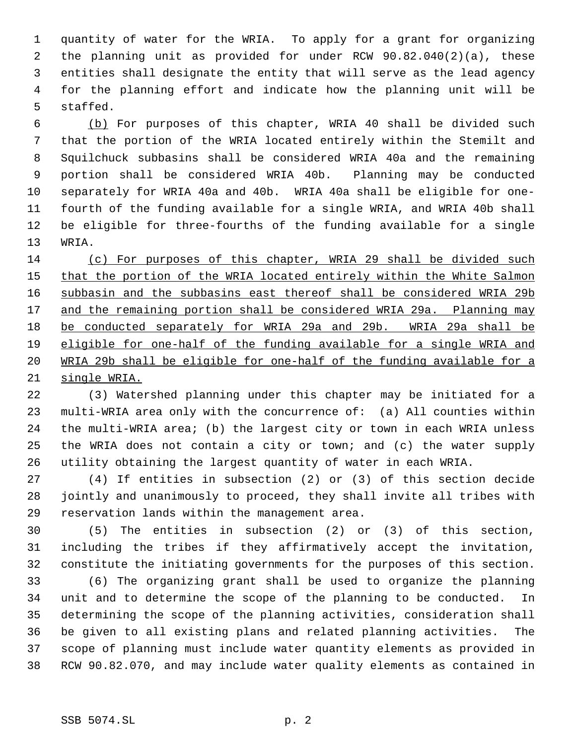quantity of water for the WRIA. To apply for a grant for organizing the planning unit as provided for under RCW 90.82.040(2)(a), these entities shall designate the entity that will serve as the lead agency for the planning effort and indicate how the planning unit will be staffed.

 (b) For purposes of this chapter, WRIA 40 shall be divided such that the portion of the WRIA located entirely within the Stemilt and Squilchuck subbasins shall be considered WRIA 40a and the remaining portion shall be considered WRIA 40b. Planning may be conducted separately for WRIA 40a and 40b. WRIA 40a shall be eligible for one- fourth of the funding available for a single WRIA, and WRIA 40b shall be eligible for three-fourths of the funding available for a single WRIA.

 (c) For purposes of this chapter, WRIA 29 shall be divided such 15 that the portion of the WRIA located entirely within the White Salmon subbasin and the subbasins east thereof shall be considered WRIA 29b 17 and the remaining portion shall be considered WRIA 29a. Planning may be conducted separately for WRIA 29a and 29b. WRIA 29a shall be eligible for one-half of the funding available for a single WRIA and WRIA 29b shall be eligible for one-half of the funding available for a single WRIA.

 (3) Watershed planning under this chapter may be initiated for a multi-WRIA area only with the concurrence of: (a) All counties within the multi-WRIA area; (b) the largest city or town in each WRIA unless the WRIA does not contain a city or town; and (c) the water supply utility obtaining the largest quantity of water in each WRIA.

 (4) If entities in subsection (2) or (3) of this section decide jointly and unanimously to proceed, they shall invite all tribes with reservation lands within the management area.

 (5) The entities in subsection (2) or (3) of this section, including the tribes if they affirmatively accept the invitation, constitute the initiating governments for the purposes of this section.

 (6) The organizing grant shall be used to organize the planning unit and to determine the scope of the planning to be conducted. In determining the scope of the planning activities, consideration shall be given to all existing plans and related planning activities. The scope of planning must include water quantity elements as provided in RCW 90.82.070, and may include water quality elements as contained in